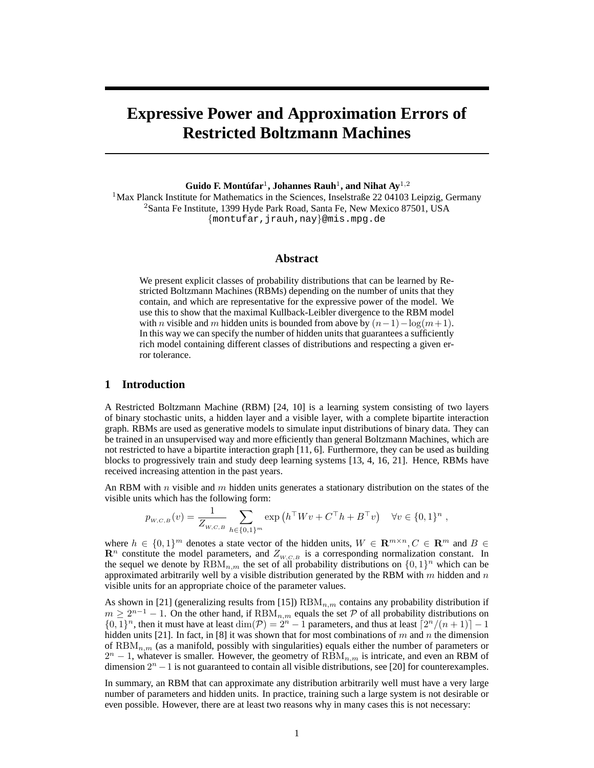# **Expressive Power and Approximation Errors of Restricted Boltzmann Machines**

 $\mathbf{Guido}\ \mathbf{F.}\ \mathbf{Montufar}^{1},\ \mathbf{Johannes}\ \mathbf{Rauh}^{1},\ \mathbf{and}\ \mathbf{Nihat}\ \mathbf{Ay}^{1,2}$ 

<sup>1</sup>Max Planck Institute for Mathematics in the Sciences, Inselstraße 22 04103 Leipzig, Germany <sup>2</sup>Santa Fe Institute, 1399 Hyde Park Road, Santa Fe, New Mexico 87501, USA {montufar,jrauh,nay}@mis.mpg.de

## **Abstract**

We present explicit classes of probability distributions that can be learned by Restricted Boltzmann Machines (RBMs) depending on the number of units that they contain, and which are representative for the expressive power of the model. We use this to show that the maximal Kullback-Leibler divergence to the RBM model with *n* visible and m hidden units is bounded from above by  $(n-1)-\log(m+1)$ . In this way we can specify the number of hidden units that guarantees a sufficiently rich model containing different classes of distributions and respecting a given error tolerance.

## **1 Introduction**

A Restricted Boltzmann Machine (RBM) [24, 10] is a learning system consisting of two layers of binary stochastic units, a hidden layer and a visible layer, with a complete bipartite interaction graph. RBMs are used as generative models to simulate input distributions of binary data. They can be trained in an unsupervised way and more efficiently than general Boltzmann Machines, which are not restricted to have a bipartite interaction graph [11, 6]. Furthermore, they can be used as building blocks to progressively train and study deep learning systems [13, 4, 16, 21]. Hence, RBMs have received increasing attention in the past years.

An RBM with n visible and m hidden units generates a stationary distribution on the states of the visible units which has the following form:

$$
p_{w,c,B}(v) = \frac{1}{Z_{w,c,B}} \sum_{h \in \{0,1\}^m} \exp\left(h^\top W v + C^\top h + B^\top v\right) \quad \forall v \in \{0,1\}^n,
$$

where  $h \in \{0,1\}^m$  denotes a state vector of the hidden units,  $W \in \mathbb{R}^{m \times n}, C \in \mathbb{R}^m$  and  $B \in$  $\mathbb{R}^n$  constitute the model parameters, and  $Z_{W,C,B}$  is a corresponding normalization constant. In the sequel we denote by  $\widehat{RBM}_{n,m}$  the set of all probability distributions on  $\{0,1\}^n$  which can be approximated arbitrarily well by a visible distribution generated by the RBM with  $m$  hidden and  $n$ visible units for an appropriate choice of the parameter values.

As shown in [21] (generalizing results from [15])  $RBM_{n,m}$  contains any probability distribution if  $m \geq 2^{n-1} - 1$ . On the other hand, if  $RBM_{n,m}$  equals the set P of all probability distributions on  $\{0,1\}^n$ , then it must have at least  $\dim(\mathcal{P}) = 2^n - 1$  parameters, and thus at least  $\lceil 2^n/(n+1) \rceil - 1$ hidden units [21]. In fact, in [8] it was shown that for most combinations of m and n the dimension of  $RBM_{n,m}$  (as a manifold, possibly with singularities) equals either the number of parameters or  $2<sup>n</sup> - 1$ , whatever is smaller. However, the geometry of  $RBM_{n,m}$  is intricate, and even an RBM of dimension  $2^n - 1$  is not guaranteed to contain all visible distributions, see [20] for counterexamples.

In summary, an RBM that can approximate any distribution arbitrarily well must have a very large number of parameters and hidden units. In practice, training such a large system is not desirable or even possible. However, there are at least two reasons why in many cases this is not necessary: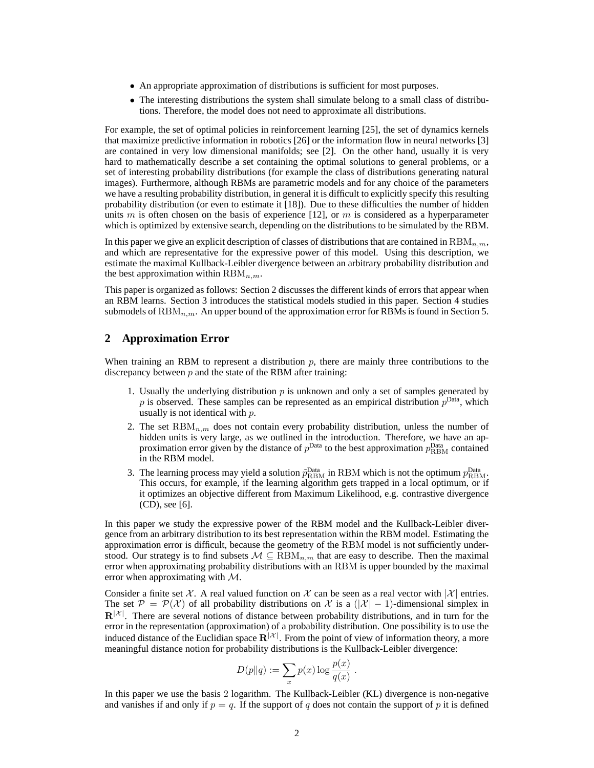- An appropriate approximation of distributions is sufficient for most purposes.
- The interesting distributions the system shall simulate belong to a small class of distributions. Therefore, the model does not need to approximate all distributions.

For example, the set of optimal policies in reinforcement learning [25], the set of dynamics kernels that maximize predictive information in robotics [26] or the information flow in neural networks [3] are contained in very low dimensional manifolds; see [2]. On the other hand, usually it is very hard to mathematically describe a set containing the optimal solutions to general problems, or a set of interesting probability distributions (for example the class of distributions generating natural images). Furthermore, although RBMs are parametric models and for any choice of the parameters we have a resulting probability distribution, in general it is difficult to explicitly specify this resulting probability distribution (or even to estimate it [18]). Due to these difficulties the number of hidden units m is often chosen on the basis of experience [12], or m is considered as a hyperparameter which is optimized by extensive search, depending on the distributions to be simulated by the RBM.

In this paper we give an explicit description of classes of distributions that are contained in  $\text{RBM}_{n,m}$ , and which are representative for the expressive power of this model. Using this description, we estimate the maximal Kullback-Leibler divergence between an arbitrary probability distribution and the best approximation within  $RBM_{n,m}$ .

This paper is organized as follows: Section 2 discusses the different kinds of errors that appear when an RBM learns. Section 3 introduces the statistical models studied in this paper. Section 4 studies submodels of  $\text{RBM}_{n,m}$ . An upper bound of the approximation error for RBMs is found in Section 5.

## **2 Approximation Error**

When training an RBM to represent a distribution  $p$ , there are mainly three contributions to the discrepancy between  $p$  and the state of the RBM after training:

- 1. Usually the underlying distribution  $p$  is unknown and only a set of samples generated by p is observed. These samples can be represented as an empirical distribution  $p^{\text{Data}}$ , which usually is not identical with  $p$ .
- 2. The set  $\text{RBM}_{n,m}$  does not contain every probability distribution, unless the number of hidden units is very large, as we outlined in the introduction. Therefore, we have an approximation error given by the distance of  $p^{\text{Data}}$  to the best approximation  $p^{\text{Data}}_{\text{RBM}}$  contained in the RBM model.
- 3. The learning process may yield a solution  $\tilde{p}_{\text{RBM}}^{\text{Data}}$  in RBM which is not the optimum  $p_{\text{RBM}}^{\text{Data}}$ . This occurs, for example, if the learning algorithm gets trapped in a local optimum, or if it optimizes an objective different from Maximum Likelihood, e.g. contrastive divergence (CD), see [6].

In this paper we study the expressive power of the RBM model and the Kullback-Leibler divergence from an arbitrary distribution to its best representation within the RBM model. Estimating the approximation error is difficult, because the geometry of the RBM model is not sufficiently understood. Our strategy is to find subsets  $M \subseteq \text{RBM}_{n,m}$  that are easy to describe. Then the maximal error when approximating probability distributions with an RBM is upper bounded by the maximal error when approximating with  $M$ .

Consider a finite set X. A real valued function on X can be seen as a real vector with  $|\mathcal{X}|$  entries. The set  $\mathcal{P} = \mathcal{P}(\mathcal{X})$  of all probability distributions on X is a  $(|\mathcal{X}| - 1)$ -dimensional simplex in  $\mathbf{R}^{|\mathcal{X}|}$ . There are several notions of distance between probability distributions, and in turn for the error in the representation (approximation) of a probability distribution. One possibility is to use the induced distance of the Euclidian space  $\mathbb{R}^{|\mathcal{X}|}$ . From the point of view of information theory, a more meaningful distance notion for probability distributions is the Kullback-Leibler divergence:

$$
D(p||q) := \sum_{x} p(x) \log \frac{p(x)}{q(x)}.
$$

In this paper we use the basis 2 logarithm. The Kullback-Leibler (KL) divergence is non-negative and vanishes if and only if  $p = q$ . If the support of q does not contain the support of p it is defined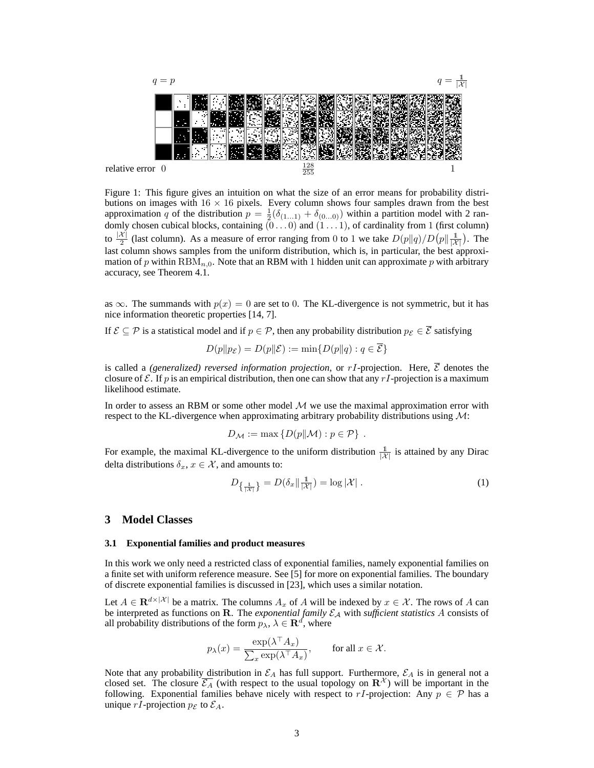

Figure 1: This figure gives an intuition on what the size of an error means for probability distributions on images with  $16 \times 16$  pixels. Every column shows four samples drawn from the best approximation q of the distribution  $p = \frac{1}{2}(\delta_{(1...1)} + \delta_{(0...0)})$  within a partition model with 2 randomly chosen cubical blocks, containing  $(0 \dots 0)$  and  $(1 \dots 1)$ , of cardinality from 1 (first column) to  $\frac{|X|}{2}$  (last column). As a measure of error ranging from 0 to 1 we take  $D(p||q)/D(p||\frac{1}{|X|})$ . The last column shows samples from the uniform distribution, which is, in particular, the best approximation of p within  $\text{RBM}_{n,0}$ . Note that an RBM with 1 hidden unit can approximate p with arbitrary accuracy, see Theorem 4.1.

as  $\infty$ . The summands with  $p(x) = 0$  are set to 0. The KL-divergence is not symmetric, but it has nice information theoretic properties [14, 7].

If  $\mathcal{E} \subseteq \mathcal{P}$  is a statistical model and if  $p \in \mathcal{P}$ , then any probability distribution  $p_{\mathcal{E}} \in \overline{\mathcal{E}}$  satisfying

$$
D(p||p_{\mathcal{E}}) = D(p||\mathcal{E}) := \min\{D(p||q) : q \in \mathcal{E}\}\
$$

is called a *(generalized) reversed information projection*, or  $rI$ -projection. Here,  $\overline{\mathcal{E}}$  denotes the closure of  $\mathcal E$ . If p is an empirical distribution, then one can show that any rI-projection is a maximum likelihood estimate.

In order to assess an RBM or some other model  $M$  we use the maximal approximation error with respect to the KL-divergence when approximating arbitrary probability distributions using  $\mathcal{M}$ :

$$
D_{\mathcal{M}} := \max \{ D(p \| \mathcal{M}) : p \in \mathcal{P} \} .
$$

For example, the maximal KL-divergence to the uniform distribution  $\frac{1}{|X|}$  is attained by any Dirac delta distributions  $\delta_x, x \in \mathcal{X}$ , and amounts to:

$$
D_{\left\{\frac{1}{|\mathcal{X}|}\right\}} = D(\delta_x || \frac{1}{|\mathcal{X}|}) = \log |\mathcal{X}| \tag{1}
$$

## **3 Model Classes**

#### **3.1 Exponential families and product measures**

In this work we only need a restricted class of exponential families, namely exponential families on a finite set with uniform reference measure. See [5] for more on exponential families. The boundary of discrete exponential families is discussed in [23], which uses a similar notation.

Let  $A \in \mathbf{R}^{d \times |\mathcal{X}|}$  be a matrix. The columns  $A_x$  of A will be indexed by  $x \in \mathcal{X}$ . The rows of A can be interpreted as functions on R. The *exponential family*  $\mathcal{E}_A$  with *sufficient statistics* A consists of all probability distributions of the form  $p_{\lambda}$ ,  $\lambda \in \mathbf{R}^d$ , where

$$
p_{\lambda}(x) = \frac{\exp(\lambda^{\top} A_x)}{\sum_{x} \exp(\lambda^{\top} A_x)}, \quad \text{for all } x \in \mathcal{X}.
$$

Note that any probability distribution in  $\mathcal{E}_A$  has full support. Furthermore,  $\mathcal{E}_A$  is in general not a closed set. The closure  $\overline{\mathcal{E}_A}$  (with respect to the usual topology on  $\mathbb{R}^{\mathcal{X}}$ ) will be important in the following. Exponential families behave nicely with respect to rI-projection: Any  $p \in \mathcal{P}$  has a unique rI-projection  $p_{\mathcal{E}}$  to  $\mathcal{E}_A$ .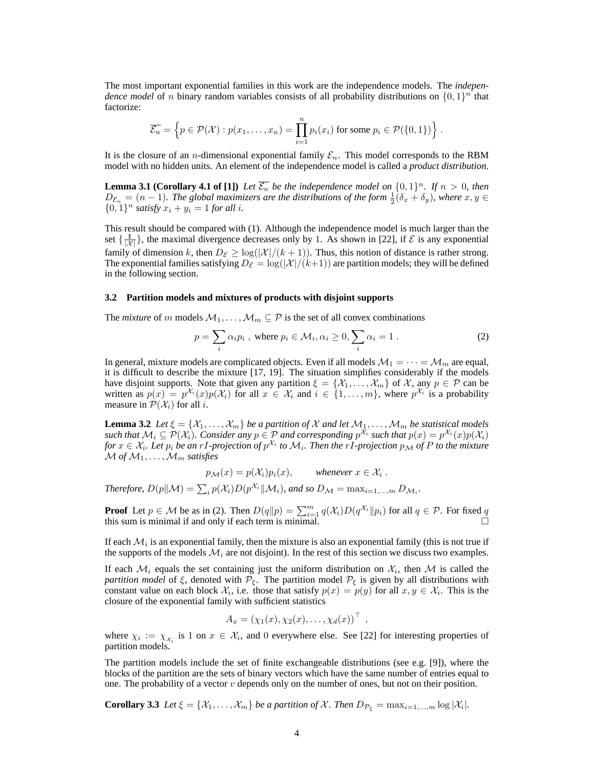The most important exponential families in this work are the independence models. The *independence model* of n binary random variables consists of all probability distributions on  $\{0,1\}$ <sup>n</sup> that factorize:

$$
\overline{\mathcal{E}_n} = \left\{ p \in \mathcal{P}(\mathcal{X}) : p(x_1, \dots, x_n) = \prod_{i=1}^n p_i(x_i) \text{ for some } p_i \in \mathcal{P}(\{0, 1\}) \right\}.
$$

It is the closure of an *n*-dimensional exponential family  $\mathcal{E}_n$ . This model corresponds to the RBM model with no hidden units. An element of the independence model is called a *product distribution*.

**Lemma 3.1 (Corollary 4.1 of [1])** Let  $\overline{\mathcal{E}_n}$  be the independence model on  $\{0,1\}^n$ . If  $n > 0$ , then  $D_{\mathcal{E}_n} = (n-1)$ . The global maximizers are the distributions of the form  $\frac{1}{2}(\delta_x + \delta_y)$ , where  $x, y \in$  $\{0, 1\}^n$  *satisfy*  $x_i + y_i = 1$  *for all i.* 

This result should be compared with (1). Although the independence model is much larger than the set  $\{\frac{1}{|X|}\}$ , the maximal divergence decreases only by 1. As shown in [22], if  $\mathcal{E}$  is any exponential family of dimension k, then  $D_{\mathcal{E}} \geq \log(|\mathcal{X}|/(k+1))$ . Thus, this notion of distance is rather strong. The exponential families satisfying  $D_{\mathcal{E}} = \log(|\mathcal{X}|/(k+1))$  are partition models; they will be defined in the following section.

#### **3.2 Partition models and mixtures of products with disjoint supports**

The *mixture* of m models  $M_1, \ldots, M_m \subseteq \mathcal{P}$  is the set of all convex combinations

$$
p = \sum_{i} \alpha_i p_i, \text{ where } p_i \in \mathcal{M}_i, \alpha_i \ge 0, \sum_{i} \alpha_i = 1.
$$
 (2)

In general, mixture models are complicated objects. Even if all models  $\mathcal{M}_1 = \cdots = \mathcal{M}_m$  are equal, it is difficult to describe the mixture [17, 19]. The situation simplifies considerably if the models have disjoint supports. Note that given any partition  $\xi = \{\mathcal{X}_1, \dots, \mathcal{X}_m\}$  of  $\mathcal{X}$ , any  $p \in \mathcal{P}$  can be written as  $p(x) = p^{\mathcal{X}_i}(x)p(\mathcal{X}_i)$  for all  $x \in \mathcal{X}_i$  and  $i \in \{1, ..., m\}$ , where  $p^{\mathcal{X}_i}$  is a probability measure in  $\mathcal{P}(\mathcal{X}_i)$  for all i.

**Lemma 3.2** *Let*  $\xi = \{X_1, \ldots, X_m\}$  *be a partition of* X *and let*  $M_1, \ldots, M_m$  *be statistical models such that*  $M_i \subseteq \mathcal{P}(\mathcal{X}_i)$ . Consider any  $p \in \mathcal{P}$  and corresponding  $p^{\mathcal{X}_i}$  such that  $p(x) = p^{\mathcal{X}_i}(x)p(\mathcal{X}_i)$ *for*  $x \in \mathcal{X}_i$ . Let  $p_i$  be an  $rI$ -projection of  $p^{\mathcal{X}_i}$  to  $\mathcal{M}_i$ . Then the  $rI$ -projection  $p_\mathcal{M}$  of  $P$  to the mixture  $\mathcal M$  of  $\mathcal M_1, \ldots, \mathcal M_m$  satisfies

 $p_{\mathcal{M}}(x) = p(\mathcal{X}_i)p_i(x), \qquad \text{whenever } x \in \mathcal{X}_i.$ *Therefore,*  $D(p||\mathcal{M}) = \sum_i p(\mathcal{X}_i)D(p^{\mathcal{X}_i}||\mathcal{M}_i)$ , and so  $D_{\mathcal{M}} = \max_{i=1,...,m} D_{\mathcal{M}_i}$ .

**Proof** Let  $p \in \mathcal{M}$  be as in (2). Then  $D(q||p) = \sum_{i=1}^{m} q(\mathcal{X}_i) D(q^{\mathcal{X}_i}||p_i)$  for all  $q \in \mathcal{P}$ . For fixed q this sum is minimal if and only if each term is minimal.

If each  $\mathcal{M}_i$  is an exponential family, then the mixture is also an exponential family (this is not true if the supports of the models  $\mathcal{M}_i$  are not disjoint). In the rest of this section we discuss two examples.

If each  $\mathcal{M}_i$  equals the set containing just the uniform distribution on  $\mathcal{X}_i$ , then  $\mathcal M$  is called the *partition model* of  $\xi$ , denoted with  $\mathcal{P}_{\xi}$ . The partition model  $\mathcal{P}_{\xi}$  is given by all distributions with constant value on each block  $\mathcal{X}_i$ , i.e. those that satisfy  $p(x) = p(y)$  for all  $x, y \in \mathcal{X}_i$ . This is the closure of the exponential family with sufficient statistics

$$
A_x = (\chi_1(x), \chi_2(x), \ldots, \chi_d(x))^\top
$$

,

where  $\chi_i := \chi_{\chi_i}$  is 1 on  $x \in \mathcal{X}_i$ , and 0 everywhere else. See [22] for interesting properties of partition models.

The partition models include the set of finite exchangeable distributions (see e.g. [9]), where the blocks of the partition are the sets of binary vectors which have the same number of entries equal to one. The probability of a vector  $v$  depends only on the number of ones, but not on their position.

**Corollary 3.3** *Let*  $\xi = \{X_1, \ldots, X_m\}$  *be a partition of* X. Then  $D_{\mathcal{P}_{\xi}} = \max_{i=1,\ldots,m} \log |\mathcal{X}_i|$ .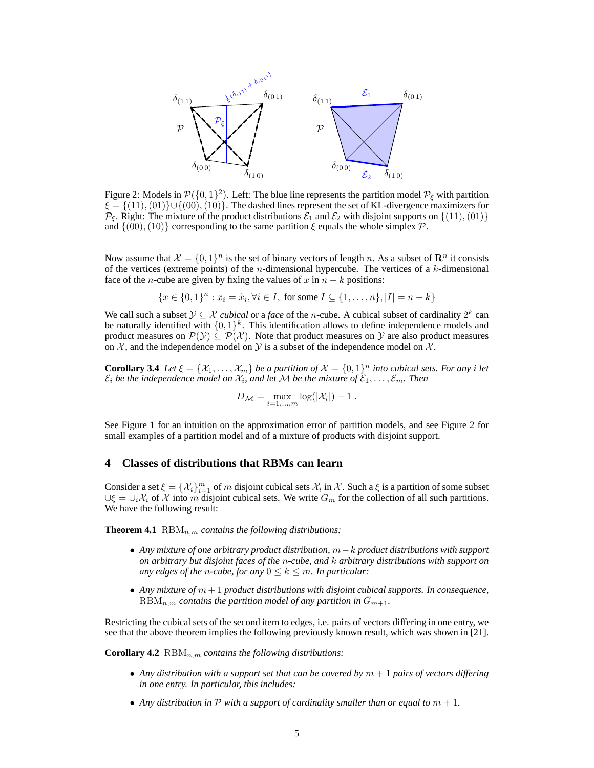

Figure 2: Models in  $\mathcal{P}(\{0,1\}^2)$ . Left: The blue line represents the partition model  $\mathcal{P}_{\xi}$  with partition  $\xi = \{(11), (01)\} \cup \{(00), (10)\}.$  The dashed lines represent the set of KL-divergence maximizers for  $\mathcal{P}_{\xi}$ . Right: The mixture of the product distributions  $\mathcal{E}_1$  and  $\mathcal{E}_2$  with disjoint supports on  $\{(11),(01)\}\$ and  $\{(00), (10)\}$  corresponding to the same partition  $\xi$  equals the whole simplex P.

Now assume that  $\mathcal{X} = \{0, 1\}^n$  is the set of binary vectors of length n. As a subset of  $\mathbb{R}^n$  it consists of the vertices (extreme points) of the *n*-dimensional hypercube. The vertices of a  $k$ -dimensional face of the *n*-cube are given by fixing the values of x in  $n - k$  positions:

$$
\{x \in \{0,1\}^n : x_i = \tilde{x}_i, \forall i \in I, \text{ for some } I \subseteq \{1,\dots,n\}, |I| = n - k\}
$$

We call such a subset  $\mathcal{Y} \subseteq \mathcal{X}$  *cubical* or a *face* of the *n*-cube. A cubical subset of cardinality  $2^k$  can be naturally identified with  $\{0,1\}^k$ . This identification allows to define independence models and product measures on  $\mathcal{P}(y) \subseteq \mathcal{P}(\mathcal{X})$ . Note that product measures on Y are also product measures on  $X$ , and the independence model on  $Y$  is a subset of the independence model on  $X$ .

**Corollary 3.4** *Let*  $\xi = \{X_1, \ldots, X_m\}$  *be a partition of*  $\mathcal{X} = \{0, 1\}^n$  *into cubical sets. For any i let*  $\mathcal{E}_i$  be the independence model on  $\mathcal{X}_i$ , and let M be the mixture of  $\mathcal{E}_1,\ldots,\mathcal{E}_m$ . Then

$$
D_{\mathcal{M}} = \max_{i=1,\dots,m} \log(|\mathcal{X}_i|) - 1.
$$

See Figure 1 for an intuition on the approximation error of partition models, and see Figure 2 for small examples of a partition model and of a mixture of products with disjoint support.

## **4 Classes of distributions that RBMs can learn**

Consider a set  $\xi = \{\mathcal{X}_i\}_{i=1}^m$  of m disjoint cubical sets  $\mathcal{X}_i$  in  $\mathcal{X}$ . Such a  $\xi$  is a partition of some subset  $\bigcup \xi = \bigcup_i X_i$  of X into m disjoint cubical sets. We write  $G_m$  for the collection of all such partitions. We have the following result:

**Theorem 4.1**  $\text{RBM}_{n,m}$  *contains the following distributions:* 

- *Any mixture of one arbitrary product distribution,* m−k *product distributions with support on arbitrary but disjoint faces of the* n*-cube, and* k *arbitrary distributions with support on any edges of the n-cube, for any*  $0 \leq k \leq m$ *. In particular:*
- *Any mixture of* m + 1 *product distributions with disjoint cubical supports. In consequence,*  $RBM_{n,m}$  *contains the partition model of any partition in*  $G_{m+1}$ *.*

Restricting the cubical sets of the second item to edges, i.e. pairs of vectors differing in one entry, we see that the above theorem implies the following previously known result, which was shown in [21].

**Corollary 4.2**  $\text{RBM}_{n,m}$  *contains the following distributions:* 

- Any distribution with a support set that can be covered by  $m + 1$  pairs of vectors differing *in one entry. In particular, this includes:*
- Any distribution in  $P$  with a support of cardinality smaller than or equal to  $m + 1$ .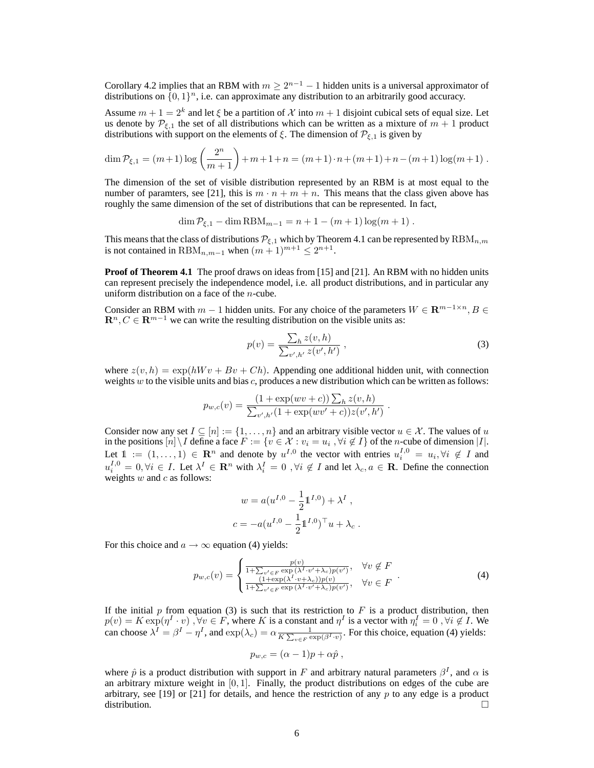Corollary 4.2 implies that an RBM with  $m \geq 2^{n-1} - 1$  hidden units is a universal approximator of distributions on  $\{0,1\}^n$ , i.e. can approximate any distribution to an arbitrarily good accuracy.

Assume  $m + 1 = 2<sup>k</sup>$  and let  $\xi$  be a partition of X into  $m + 1$  disjoint cubical sets of equal size. Let us denote by  $\mathcal{P}_{\xi,1}$  the set of all distributions which can be written as a mixture of  $m+1$  product distributions with support on the elements of  $\xi$ . The dimension of  $\mathcal{P}_{\xi,1}$  is given by

$$
\dim \mathcal{P}_{\xi,1} = (m+1)\log\left(\frac{2^n}{m+1}\right) + m + 1 + n = (m+1)\cdot n + (m+1) + n - (m+1)\log(m+1).
$$

The dimension of the set of visible distribution represented by an RBM is at most equal to the number of paramters, see [21], this is  $m \cdot n + m + n$ . This means that the class given above has roughly the same dimension of the set of distributions that can be represented. In fact,

 $\dim P_{\xi,1} - \dim RBM_{m-1} = n + 1 - (m+1)\log(m+1)$ .

This means that the class of distributions  $\mathcal{P}_{\xi,1}$  which by Theorem 4.1 can be represented by  $\text{RBM}_{n,m}$ is not contained in  $\text{RBM}_{n,m-1}$  when  $(m+1)^{m+1} \leq 2^{n+1}$ .

**Proof of Theorem 4.1** The proof draws on ideas from [15] and [21]. An RBM with no hidden units can represent precisely the independence model, i.e. all product distributions, and in particular any uniform distribution on a face of the  $n$ -cube.

Consider an RBM with  $m - 1$  hidden units. For any choice of the parameters  $W \in \mathbb{R}^{m-1 \times n}, B \in$  $\mathbf{R}^n, C \in \mathbf{R}^{m-1}$  we can write the resulting distribution on the visible units as:

$$
p(v) = \frac{\sum_{h} z(v, h)}{\sum_{v', h'} z(v', h')} \,, \tag{3}
$$

.

where  $z(v, h) = \exp(hWv + Bv + Ch)$ . Appending one additional hidden unit, with connection weights w to the visible units and bias c, produces a new distribution which can be written as follows:

$$
p_{w,c}(v) = \frac{(1 + \exp(wv + c)) \sum_h z(v, h)}{\sum_{v',h'} (1 + \exp(wv' + c)) z(v', h')}
$$

Consider now any set  $I \subseteq [n] := \{1, \ldots, n\}$  and an arbitrary visible vector  $u \in \mathcal{X}$ . The values of u in the positions  $[n] \setminus I$  define a face  $F := \{v \in \mathcal{X} : v_i = u_i, \forall i \notin I\}$  of the *n*-cube of dimension  $|I|$ . Let  $1 := (1, \ldots, 1) \in \mathbb{R}^n$  and denote by  $u^{I,0}$  the vector with entries  $u_i^{I,0} = u_i, \forall i \notin I$  and  $u_i^{I,0} = 0, \forall i \in I$ . Let  $\lambda^I \in \mathbb{R}^n$  with  $\lambda_i^I = 0$ ,  $\forall i \notin I$  and let  $\lambda_c, a \in \mathbb{R}$ . Define the connection weights  $w$  and  $c$  as follows:

$$
w = a(u^{I,0} - \frac{1}{2}1^{I,0}) + \lambda^I,
$$
  

$$
c = -a(u^{I,0} - \frac{1}{2}1^{I,0})^{\top}u + \lambda_c.
$$

For this choice and  $a \rightarrow \infty$  equation (4) yields:

$$
p_{w,c}(v) = \begin{cases} \frac{p(v)}{1 + \sum_{v' \in F} \exp(\lambda^{I} \cdot v' + \lambda_c)p(v')}, & \forall v \notin F \\ \frac{(1 + \exp(\lambda^{I} \cdot v + \lambda_c))p(v)}{1 + \sum_{v' \in F} \exp(\lambda^{I} \cdot v' + \lambda_c)p(v')}, & \forall v \in F \end{cases} . \tag{4}
$$

If the initial  $p$  from equation (3) is such that its restriction to  $F$  is a product distribution, then  $p(v) = K \exp(\eta^I \cdot v)$ ,  $\forall v \in F$ , where K is a constant and  $\eta^I$  is a vector with  $\eta_i^I = 0$ ,  $\forall i \notin I$ . We can choose  $\lambda^I = \beta^I - \eta^I$ , and  $\exp(\lambda_c) = \alpha \frac{1}{K \sum_{v \in F} \exp(\beta^I \cdot v)}$ . For this choice, equation (4) yields:

$$
p_{w,c} = (\alpha - 1)p + \alpha \hat{p} ,
$$

where  $\hat{p}$  is a product distribution with support in F and arbitrary natural parameters  $\beta^I$ , and  $\alpha$  is an arbitrary mixture weight in [0, 1]. Finally, the product distributions on edges of the cube are arbitrary, see [19] or [21] for details, and hence the restriction of any  $p$  to any edge is a product distribution.  $\Box$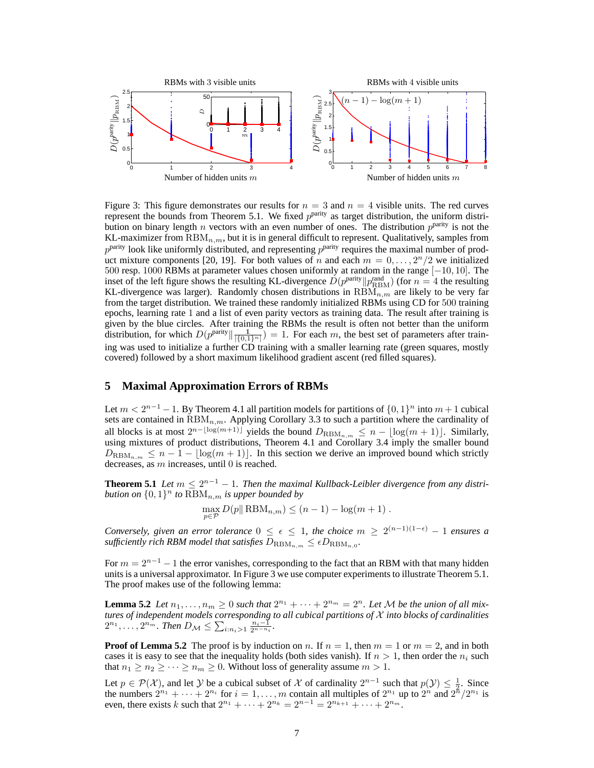

Figure 3: This figure demonstrates our results for  $n = 3$  and  $n = 4$  visible units. The red curves represent the bounds from Theorem 5.1. We fixed  $p<sup>parity</sup>$  as target distribution, the uniform distribution on binary length *n* vectors with an even number of ones. The distribution  $p^{\text{parity}}$  is not the KL-maximizer from  $\text{RBM}_{n,m}$ , but it is in general difficult to represent. Qualitatively, samples from  $p^{\text{parity}}$  look like uniformly distributed, and representing  $p^{\text{parity}}$  requires the maximal number of product mixture components [20, 19]. For both values of n and each  $m = 0, \ldots, 2<sup>n</sup>/2$  we initialized 500 resp. 1000 RBMs at parameter values chosen uniformly at random in the range [−10, 10]. The inset of the left figure shows the resulting KL-divergence  $D(p^{\text{parity}}||p^{\text{rand}}_{\text{RBM}})$  (for  $n = 4$  the resulting KL-divergence was larger). Randomly chosen distributions in  $RBM_{n,m}$  are likely to be very far from the target distribution. We trained these randomly initialized RBMs using CD for 500 training epochs, learning rate 1 and a list of even parity vectors as training data. The result after training is given by the blue circles. After training the RBMs the result is often not better than the uniform distribution, for which  $D(p^{\text{parity}}||\frac{1}{|I_0|})$  $(\frac{1}{\left[\{0,1\}^n\right]}) = 1$ . For each m, the best set of parameters after training was used to initialize a further CD training with a smaller learning rate (green squares, mostly covered) followed by a short maximum likelihood gradient ascent (red filled squares).

## **5 Maximal Approximation Errors of RBMs**

Let  $m < 2^{n-1} - 1$ . By Theorem 4.1 all partition models for partitions of  $\{0, 1\}^n$  into  $m + 1$  cubical sets are contained in  $RBM_{n,m}$ . Applying Corollary 3.3 to such a partition where the cardinality of all blocks is at most  $2^{n-\lfloor \log(m+1) \rfloor}$  yields the bound  $D_{\text{RBM}_{n,m}} \leq n - \lfloor \log(m+1) \rfloor$ . Similarly, using mixtures of product distributions, Theorem 4.1 and Corollary 3.4 imply the smaller bound  $D_{\text{RBM}_{n,m}} \leq n-1 - \lfloor \log(m+1) \rfloor$ . In this section we derive an improved bound which strictly decreases, as m increases, until 0 is reached.

**Theorem 5.1** *Let*  $m \leq 2^{n-1} - 1$ . Then the maximal Kullback-Leibler divergence from any distri*bution on*  $\{0,1\}^n$  *to*  $RBM_{n,m}$  *is upper bounded by* 

$$
\max_{p \in \mathcal{P}} D(p \|\text{RBM}_{n,m}) \le (n-1) - \log(m+1) .
$$

*Conversely, given an error tolerance*  $0 \le \epsilon \le 1$ , the choice  $m \ge 2^{(n-1)(1-\epsilon)} - 1$  ensures a sufficiently rich RBM model that satisfies  $D_{\mathrm{RBM}_{n,m}} \leq \epsilon D_{\mathrm{RBM}_{n,0}}.$ 

For  $m = 2^{n-1} - 1$  the error vanishes, corresponding to the fact that an RBM with that many hidden units is a universal approximator. In Figure 3 we use computer experiments to illustrate Theorem 5.1. The proof makes use of the following lemma:

**Lemma 5.2** Let  $n_1, \ldots, n_m \geq 0$  such that  $2^{n_1} + \cdots + 2^{n_m} = 2^n$ . Let M be the union of all mix*tures of independent models corresponding to all cubical partitions of* X *into blocks of cardinalities*  $2^{n_1}, \ldots, 2^{n_m}$ . Then  $D_{\mathcal{M}} \leq \sum_{i:n_i>1} \frac{n_i-\tilde{1}}{2^{n-n_i}}$ .

**Proof of Lemma 5.2** The proof is by induction on n. If  $n = 1$ , then  $m = 1$  or  $m = 2$ , and in both cases it is easy to see that the inequality holds (both sides vanish). If  $n > 1$ , then order the  $n_i$  such that  $n_1 \geq n_2 \geq \cdots \geq n_m \geq 0$ . Without loss of generality assume  $m > 1$ .

Let  $p \in \mathcal{P}(\mathcal{X})$ , and let  $\mathcal Y$  be a cubical subset of  $\mathcal X$  of cardinality  $2^{n-1}$  such that  $p(\mathcal Y) \leq \frac{1}{2}$ . Since the numbers  $2^{n_1} + \cdots + 2^{n_i}$  for  $i = 1, \ldots, m$  contain all multiples of  $2^{n_1}$  up to  $2^n$  and  $2^n/2^{n_1}$  is even, there exists k such that  $2^{n_1} + \cdots + 2^{n_k} = 2^{n-1} = 2^{n_{k+1}} + \cdots + 2^{n_m}$ .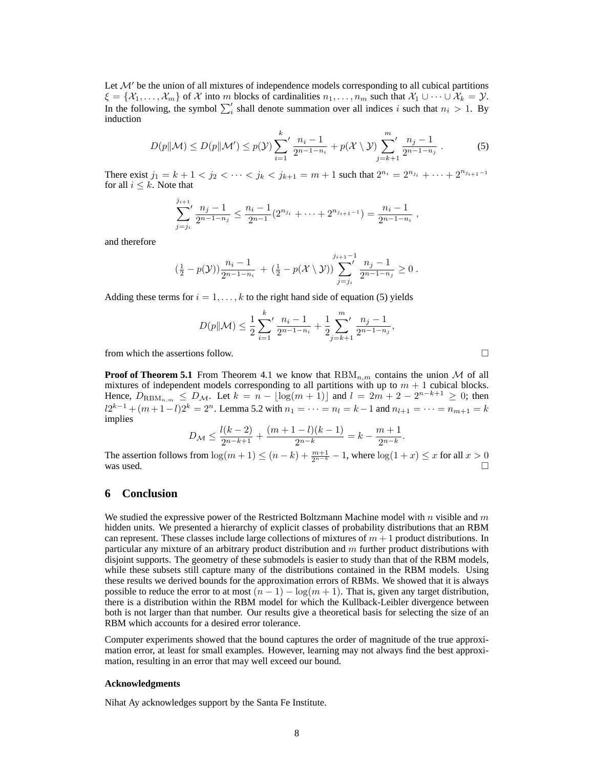Let  $\mathcal{M}'$  be the union of all mixtures of independence models corresponding to all cubical partitions  $\xi = \{X_1, \ldots, X_m\}$  of X into m blocks of cardinalities  $n_1, \ldots, n_m$  such that  $X_1 \cup \cdots \cup X_k = Y$ . In the following, the symbol  $\sum_{i}$  shall denote summation over all indices i such that  $n_i > 1$ . By induction

$$
D(p||\mathcal{M}) \le D(p||\mathcal{M}') \le p(\mathcal{Y}) \sum_{i=1}^{k} \frac{n_i - 1}{2^{n-1 - n_i}} + p(\mathcal{X} \setminus \mathcal{Y}) \sum_{j=k+1}^{m} \frac{n_j - 1}{2^{n-1 - n_j}}.
$$
 (5)

There exist  $j_1 = k + 1 < j_2 < \cdots < j_k < j_{k+1} = m + 1$  such that  $2^{n_i} = 2^{n_{j_i}} + \cdots + 2^{n_{j_{i+1}-1}}$ for all  $i \leq k$ . Note that

$$
\sum_{j=j_i}^{j_{i+1}} \frac{n_j-1}{2^{n-1-n_j}} \le \frac{n_i-1}{2^{n-1}} (2^{n_{j_i}} + \cdots + 2^{n_{j_{i+1}-1}}) = \frac{n_i-1}{2^{n-1-n_i}},
$$

and therefore

$$
\left(\frac{1}{2} - p(\mathcal{Y})\right) \frac{n_i - 1}{2^{n-1} - n_i} + \left(\frac{1}{2} - p(\mathcal{X} \setminus \mathcal{Y})\right) \sum_{j=j_i}^{j_{i+1}-1} \frac{n_j - 1}{2^{n-1} - n_j} \ge 0.
$$

Adding these terms for  $i = 1, \ldots, k$  to the right hand side of equation (5) yields

$$
D(p||\mathcal{M}) \le \frac{1}{2} \sum_{i=1}^{k} \frac{n_i - 1}{2^{n-1-n_i}} + \frac{1}{2} \sum_{j=k+1}^{m} \frac{n_j - 1}{2^{n-1-n_j}},
$$

from which the assertions follow.

**Proof of Theorem 5.1** From Theorem 4.1 we know that  $RBM_{n,m}$  contains the union M of all mixtures of independent models corresponding to all partitions with up to  $m + 1$  cubical blocks. Hence,  $D_{\text{RBM}_{n,m}} \leq D_{\mathcal{M}}$ . Let  $k = n - \lfloor \log(m+1) \rfloor$  and  $l = 2m + 2 - 2^{n-k+1} \geq 0$ ; then  $l2^{k-1} + (m+1-l)2^k = 2^n$ . Lemma 5.2 with  $n_1 = \cdots = n_l = k-1$  and  $n_{l+1} = \cdots = n_{m+1} = k$ implies

$$
D_{\mathcal{M}} \le \frac{l(k-2)}{2^{n-k+1}} + \frac{(m+1-l)(k-1)}{2^{n-k}} = k - \frac{m+1}{2^{n-k}}.
$$

The assertion follows from  $\log(m+1) \le (n-k) + \frac{m+1}{2^{n-k}} - 1$ , where  $\log(1+x) \le x$  for all  $x > 0$  was used.

## **6 Conclusion**

We studied the expressive power of the Restricted Boltzmann Machine model with n visible and  $m$ hidden units. We presented a hierarchy of explicit classes of probability distributions that an RBM can represent. These classes include large collections of mixtures of  $m + 1$  product distributions. In particular any mixture of an arbitrary product distribution and m further product distributions with disjoint supports. The geometry of these submodels is easier to study than that of the RBM models, while these subsets still capture many of the distributions contained in the RBM models. Using these results we derived bounds for the approximation errors of RBMs. We showed that it is always possible to reduce the error to at most  $(n - 1) - \log(m + 1)$ . That is, given any target distribution, there is a distribution within the RBM model for which the Kullback-Leibler divergence between both is not larger than that number. Our results give a theoretical basis for selecting the size of an RBM which accounts for a desired error tolerance.

Computer experiments showed that the bound captures the order of magnitude of the true approximation error, at least for small examples. However, learning may not always find the best approximation, resulting in an error that may well exceed our bound.

#### **Acknowledgments**

Nihat Ay acknowledges support by the Santa Fe Institute.